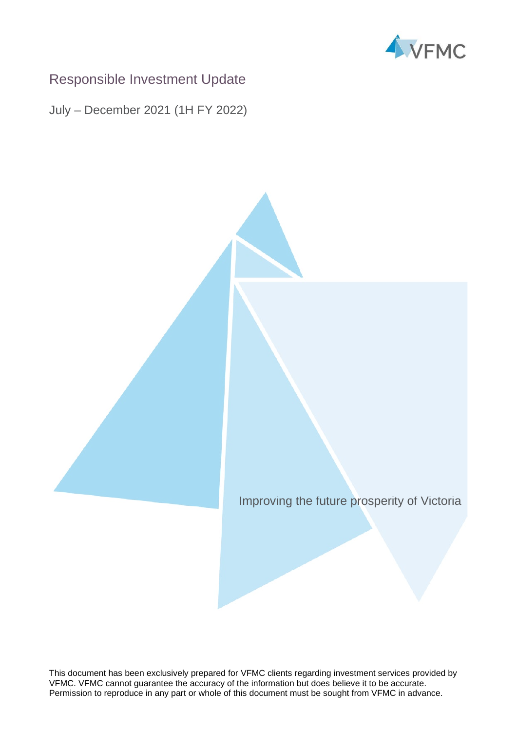

# Responsible Investment Update

July – December 2021 (1H FY 2022)

Improving the future prosperity of Victoria

This document has been exclusively prepared for VFMC clients regarding investment services provided by VFMC. VFMC cannot guarantee the accuracy of the information but does believe it to be accurate. Permission to reproduce in any part or whole of this document must be sought from VFMC in advance.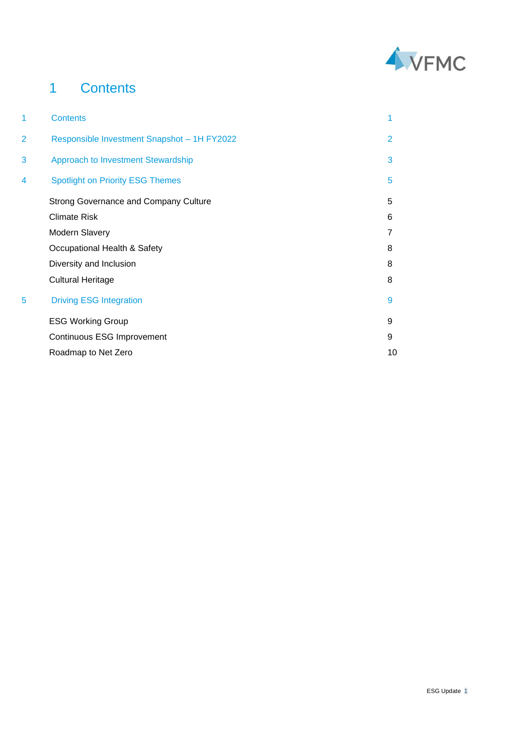

# 1 Contents

| 1 | <b>Contents</b>                              | 1              |
|---|----------------------------------------------|----------------|
| 2 | Responsible Investment Snapshot - 1H FY2022  | $\overline{2}$ |
| 3 | Approach to Investment Stewardship           | 3              |
| 4 | <b>Spotlight on Priority ESG Themes</b>      | 5              |
|   | <b>Strong Governance and Company Culture</b> | 5              |
|   | <b>Climate Risk</b>                          | 6              |
|   | Modern Slavery                               | 7              |
|   | Occupational Health & Safety                 | 8              |
|   | Diversity and Inclusion                      | 8              |
|   | <b>Cultural Heritage</b>                     | 8              |
| 5 | <b>Driving ESG Integration</b>               | 9              |
|   | <b>ESG Working Group</b>                     | 9              |
|   | Continuous ESG Improvement                   | 9              |
|   | Roadmap to Net Zero                          | 10             |
|   |                                              |                |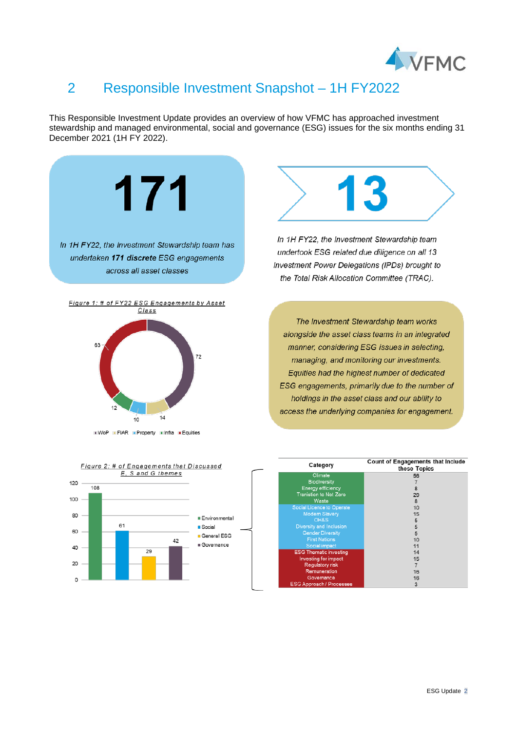

# 2 Responsible Investment Snapshot – 1H FY2022

This Responsible Investment Update provides an overview of how VFMC has approached investment stewardship and managed environmental, social and governance (ESG) issues for the six months ending 31 December 2021 (1H FY 2022).



20

 $\circ$ 

sting for impact

latory risk Remuneration

16  $16$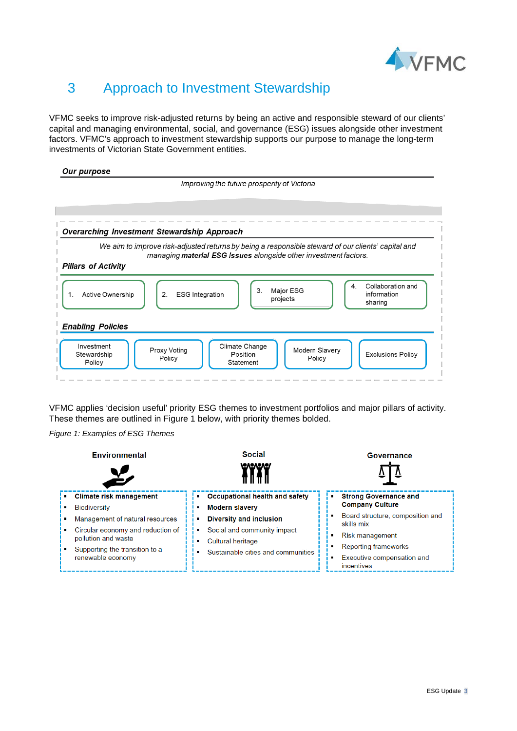

# 3 Approach to Investment Stewardship

VFMC seeks to improve risk-adjusted returns by being an active and responsible steward of our clients' capital and managing environmental, social, and governance (ESG) issues alongside other investment factors. VFMC's approach to investment stewardship supports our purpose to manage the long-term investments of Victorian State Government entities.

#### Our purpose



VFMC applies 'decision useful' priority ESG themes to investment portfolios and major pillars of activity. These themes are outlined in Figure 1 below, with priority themes bolded.

*Figure 1: Examples of ESG Themes*

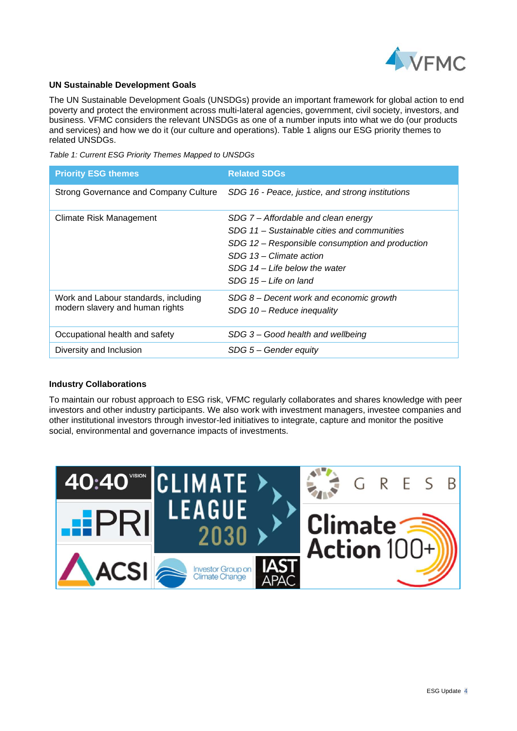

#### **UN Sustainable Development Goals**

The UN Sustainable Development Goals (UNSDGs) provide an important framework for global action to end poverty and protect the environment across multi-lateral agencies, government, civil society, investors, and business. VFMC considers the relevant UNSDGs as one of a number inputs into what we do (our products and services) and how we do it (our culture and operations). Table 1 aligns our ESG priority themes to related UNSDGs.

*Table 1: Current ESG Priority Themes Mapped to UNSDGs*

| <b>Priority ESG themes</b>                                              | <b>Related SDGs</b>                                                                                                                                                                                                            |
|-------------------------------------------------------------------------|--------------------------------------------------------------------------------------------------------------------------------------------------------------------------------------------------------------------------------|
| <b>Strong Governance and Company Culture</b>                            | SDG 16 - Peace, justice, and strong institutions                                                                                                                                                                               |
| Climate Risk Management                                                 | SDG 7 – Affordable and clean energy<br>SDG 11 – Sustainable cities and communities<br>SDG 12 – Responsible consumption and production<br>SDG 13 - Climate action<br>$SDG$ 14 – Life below the water<br>$SDG$ 15 – Life on land |
| Work and Labour standards, including<br>modern slavery and human rights | $SDG$ 8 – Decent work and economic growth<br>SDG 10 – Reduce inequality                                                                                                                                                        |
| Occupational health and safety                                          | SDG 3 – Good health and wellbeing                                                                                                                                                                                              |
| Diversity and Inclusion                                                 | $SDG 5 - Gender equity$                                                                                                                                                                                                        |

#### **Industry Collaborations**

To maintain our robust approach to ESG risk, VFMC regularly collaborates and shares knowledge with peer investors and other industry participants. We also work with investment managers, investee companies and other institutional investors through investor-led initiatives to integrate, capture and monitor the positive social, environmental and governance impacts of investments.

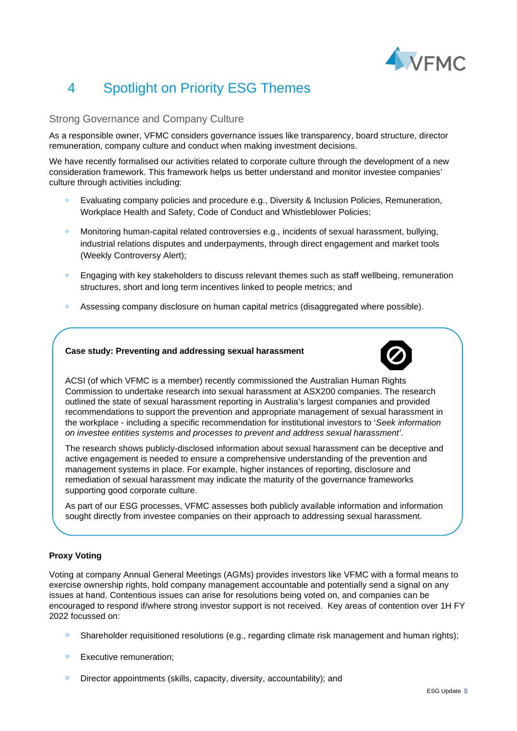

# 4 Spotlight on Priority ESG Themes

### Strong Governance and Company Culture

As a responsible owner, VFMC considers governance issues like transparency, board structure, director remuneration, company culture and conduct when making investment decisions.

We have recently formalised our activities related to corporate culture through the development of a new consideration framework. This framework helps us better understand and monitor investee companies' culture through activities including:

- Evaluating company policies and procedure e.g., Diversity & Inclusion Policies, Remuneration, Workplace Health and Safety, Code of Conduct and Whistleblower Policies;
- Monitoring human-capital related controversies e.g., incidents of sexual harassment, bullying, industrial relations disputes and underpayments, through direct engagement and market tools (Weekly Controversy Alert);
- Engaging with key stakeholders to discuss relevant themes such as staff wellbeing, remuneration structures, short and long term incentives linked to people metrics; and
- Assessing company disclosure on human capital metrics (disaggregated where possible).

#### **Case study: Preventing and addressing sexual harassment**



ACSI (of which VFMC is a member) recently commissioned the Australian Human Rights Commission to undertake research into sexual harassment at ASX200 companies. The research outlined the state of sexual harassment reporting in Australia's largest companies and provided recommendations to support the prevention and appropriate management of sexual harassment in the workplace - including a specific recommendation for institutional investors to '*Seek information on investee entities systems and processes to prevent and address sexual harassment'.*

The research shows publicly-disclosed information about sexual harassment can be deceptive and active engagement is needed to ensure a comprehensive understanding of the prevention and management systems in place. For example, higher instances of reporting, disclosure and remediation of sexual harassment may indicate the maturity of the governance frameworks supporting good corporate culture.

As part of our ESG processes, VFMC assesses both publicly available information and information sought directly from investee companies on their approach to addressing sexual harassment.

#### **Proxy Voting**

Voting at company Annual General Meetings (AGMs) provides investors like VFMC with a formal means to exercise ownership rights, hold company management accountable and potentially send a signal on any issues at hand. Contentious issues can arise for resolutions being voted on, and companies can be encouraged to respond if/where strong investor support is not received. Key areas of contention over 1H FY 2022 focussed on:

- Shareholder requisitioned resolutions (e.g., regarding climate risk management and human rights);
- Executive remuneration;
- Director appointments (skills, capacity, diversity, accountability); and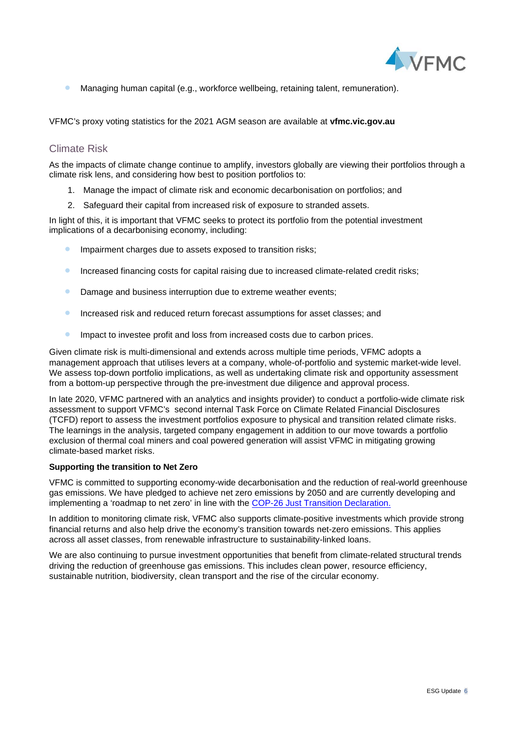

• Managing human capital (e.g., workforce wellbeing, retaining talent, remuneration).

VFMC's proxy voting statistics for the 2021 AGM season are available at **vfmc.vic.gov.au**

### Climate Risk

As the impacts of climate change continue to amplify, investors globally are viewing their portfolios through a climate risk lens, and considering how best to position portfolios to:

- 1. Manage the impact of climate risk and economic decarbonisation on portfolios; and
- 2. Safeguard their capital from increased risk of exposure to stranded assets.

In light of this, it is important that VFMC seeks to protect its portfolio from the potential investment implications of a decarbonising economy, including:

- **•** Impairment charges due to assets exposed to transition risks;
- Increased financing costs for capital raising due to increased climate-related credit risks;
- Damage and business interruption due to extreme weather events:
- Increased risk and reduced return forecast assumptions for asset classes; and
- **•** Impact to investee profit and loss from increased costs due to carbon prices.

Given climate risk is multi-dimensional and extends across multiple time periods, VFMC adopts a management approach that utilises levers at a company, whole-of-portfolio and systemic market-wide level. We assess top-down portfolio implications, as well as undertaking climate risk and opportunity assessment from a bottom-up perspective through the pre-investment due diligence and approval process.

In late 2020, VFMC partnered with an analytics and insights provider) to conduct a portfolio-wide climate risk assessment to support VFMC's second internal Task Force on Climate Related Financial Disclosures (TCFD) report to assess the investment portfolios exposure to physical and transition related climate risks. The learnings in the analysis, targeted company engagement in addition to our move towards a portfolio exclusion of thermal coal miners and coal powered generation will assist VFMC in mitigating growing climate-based market risks.

#### **Supporting the transition to Net Zero**

VFMC is committed to supporting economy-wide decarbonisation and the reduction of real-world greenhouse gas emissions. We have pledged to achieve net zero emissions by 2050 and are currently developing and implementing a 'roadmap to net zero' in line with the [COP-26 Just Transition Declaration.](https://ukcop26.org/supporting-the-conditions-for-a-just-transition-internationally/)

In addition to monitoring climate risk, VFMC also supports climate-positive investments which provide strong financial returns and also help drive the economy's transition towards net-zero emissions. This applies across all asset classes, from renewable infrastructure to sustainability-linked loans.

We are also continuing to pursue investment opportunities that benefit from climate-related structural trends driving the reduction of greenhouse gas emissions. This includes clean power, resource efficiency, sustainable nutrition, biodiversity, clean transport and the rise of the circular economy.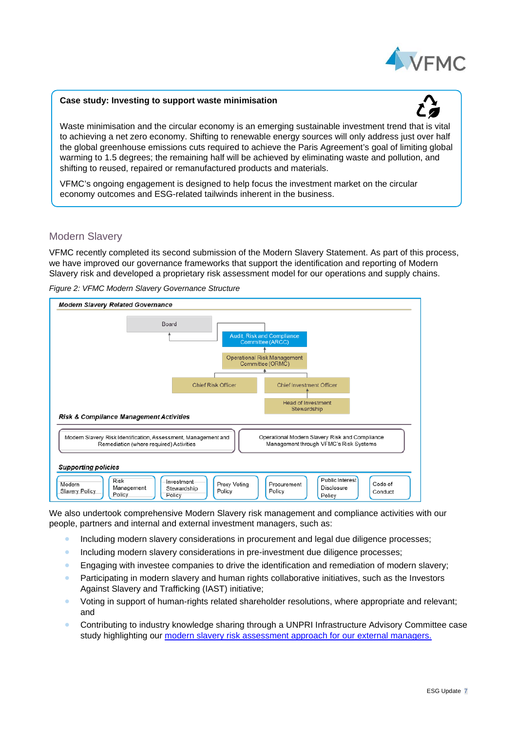

#### **Case study: Investing to support waste minimisation**



Waste minimisation and the circular economy is an emerging sustainable investment trend that is vital to achieving a net zero economy. Shifting to renewable energy sources will only address just over half the global greenhouse emissions cuts required to achieve the Paris Agreement's goal of limiting global warming to 1.5 degrees; the remaining half will be achieved by eliminating waste and pollution, and shifting to reused, repaired or remanufactured products and materials.

VFMC's ongoing engagement is designed to help focus the investment market on the circular economy outcomes and ESG-related tailwinds inherent in the business.

### Modern Slavery

VFMC recently completed its second submission of the Modern Slavery Statement. As part of this process, we have improved our governance frameworks that support the identification and reporting of Modern Slavery risk and developed a proprietary risk assessment model for our operations and supply chains.

*Figure 2: VFMC Modern Slavery Governance Structure*



We also undertook comprehensive Modern Slavery risk management and compliance activities with our people, partners and internal and external investment managers, such as:

- Including modern slavery considerations in procurement and legal due diligence processes;
- Including modern slavery considerations in pre-investment due diligence processes;
- Engaging with investee companies to drive the identification and remediation of modern slavery;
- Participating in modern slavery and human rights collaborative initiatives, such as the Investors Against Slavery and Trafficking (IAST) initiative;
- Voting in support of human-rights related shareholder resolutions, where appropriate and relevant; and
- Contributing to industry knowledge sharing through a UNPRI Infrastructure Advisory Committee case study highlighting our [modern slavery risk assessment approach](https://www.unpri.org/human-rights-case-studies/vfmc-tackling-modern-slavery-through-external-manager-engagement/8794.article) for our external managers.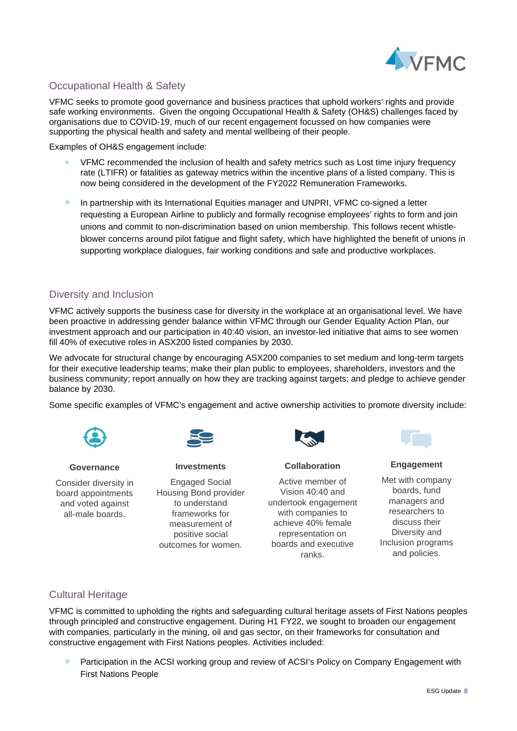

## Occupational Health & Safety

VFMC seeks to promote good governance and business practices that uphold workers' rights and provide safe working environments. Given the ongoing Occupational Health & Safety (OH&S) challenges faced by organisations due to COVID-19, much of our recent engagement focussed on how companies were supporting the physical health and safety and mental wellbeing of their people.

Examples of OH&S engagement include:

- VFMC recommended the inclusion of health and safety metrics such as Lost time injury frequency rate (LTIFR) or fatalities as gateway metrics within the incentive plans of a listed company. This is now being considered in the development of the FY2022 Remuneration Frameworks.
- In partnership with its International Equities manager and UNPRI, VFMC co-signed a letter requesting a European Airline to publicly and formally recognise employees' rights to form and join unions and commit to non-discrimination based on union membership. This follows recent whistleblower concerns around pilot fatigue and flight safety, which have highlighted the benefit of unions in supporting workplace dialogues, fair working conditions and safe and productive workplaces.

### Diversity and Inclusion

VFMC actively supports the business case for diversity in the workplace at an organisational level. We have been proactive in addressing gender balance within VFMC through our Gender Equality Action Plan, our investment approach and our participation in [40:40 vision,](https://www.hesta.com.au/4040Vision#whatare) an investor-led initiative that aims to see women fill 40% of executive roles in ASX200 listed companies by 2030.

We advocate for structural change by encouraging ASX200 companies to set medium and long-term targets for their executive leadership teams; make their plan public to employees, shareholders, investors and the business community; report annually on how they are tracking against targets; and pledge to achieve gender balance by 2030.

Some specific examples of VFMC's engagement and active ownership activities to promote diversity include:



**Governance**

Consider diversity in board appointments and voted against all-male boards.

**Investments**

Engaged Social Housing Bond provider to understand frameworks for measurement of positive social outcomes for women.



**Collaboration**

Active member of Vision 40:40 and undertook engagement with companies to achieve 40% female representation on boards and executive ranks.



**Engagement**

Met with company boards, fund managers and researchers to discuss their Diversity and Inclusion programs and policies.

### Cultural Heritage

VFMC is committed to upholding the rights and safeguarding cultural heritage assets of First Nations peoples through principled and constructive engagement. During H1 FY22, we sought to broaden our engagement with companies, particularly in the mining, oil and gas sector, on their frameworks for consultation and constructive engagement with First Nations peoples. Activities included:

• Participation in the ACSI working group and review of ACSI's Policy on Company Engagement with First Nations People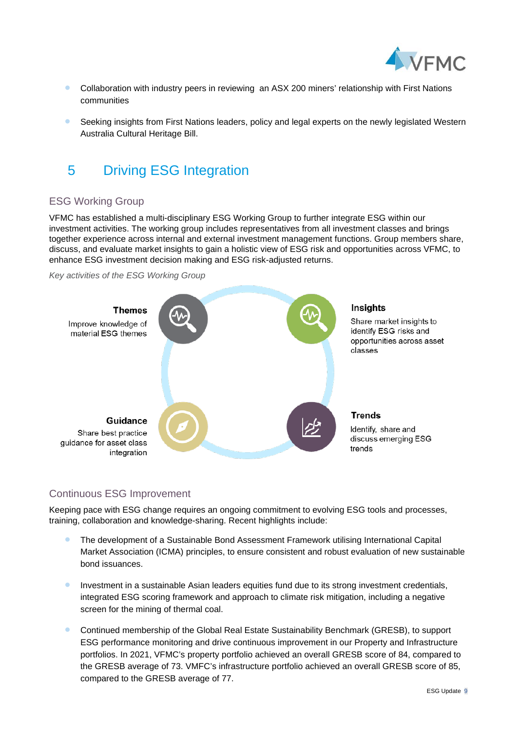

- Collaboration with industry peers in reviewing an ASX 200 miners' relationship with First Nations communities
- Seeking insights from First Nations leaders, policy and legal experts on the newly legislated Western Australia Cultural Heritage Bill.

# 5 Driving ESG Integration

## ESG Working Group

VFMC has established a multi-disciplinary ESG Working Group to further integrate ESG within our investment activities. The working group includes representatives from all investment classes and brings together experience across internal and external investment management functions. Group members share, discuss, and evaluate market insights to gain a holistic view of ESG risk and opportunities across VFMC, to enhance ESG investment decision making and ESG risk-adjusted returns.





## Continuous ESG Improvement

Keeping pace with ESG change requires an ongoing commitment to evolving ESG tools and processes, training, collaboration and knowledge-sharing. Recent highlights include:

- The development of a Sustainable Bond Assessment Framework utilising International Capital Market Association (ICMA) principles, to ensure consistent and robust evaluation of new sustainable bond issuances.
- **•** Investment in a sustainable Asian leaders equities fund due to its strong investment credentials, integrated ESG scoring framework and approach to climate risk mitigation, including a negative screen for the mining of thermal coal.
- Continued membership of the Global Real Estate Sustainability Benchmark (GRESB), to support ESG performance monitoring and drive continuous improvement in our Property and Infrastructure portfolios. In 2021, VFMC's property portfolio achieved an overall GRESB score of 84, compared to the GRESB average of 73. VMFC's infrastructure portfolio achieved an overall GRESB score of 85, compared to the GRESB average of 77.